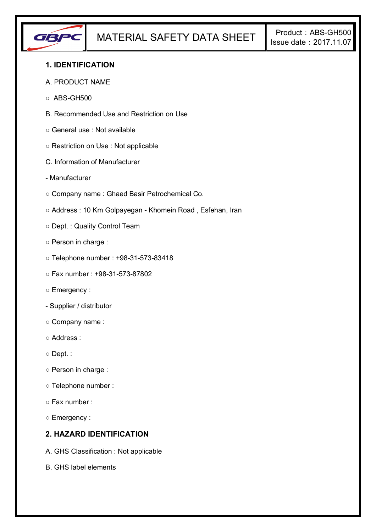

### **1. IDENTIFICATION**

#### A. PRODUCT NAME

- $\circ$  ABS-GH500
- B. Recommended Use and Restriction on Use
- General use : Not available
- Restriction on Use : Not applicable
- C. Information of Manufacturer
- Manufacturer
- Company name : Ghaed Basir Petrochemical Co.
- Address : 10 Km Golpayegan Khomein Road , Esfehan, Iran
- Dept. : Quality Control Team
- Person in charge :
- Telephone number : +98-31-573-83418
- Fax number : +98-31-573-87802
- Emergency :
- Supplier / distributor
- Company name :
- Address :
- Dept. :
- Person in charge :
- Telephone number :
- Fax number :
- Emergency :

## **2. HAZARD IDENTIFICATION**

- A. GHS Classification : Not applicable
- B. GHS label elements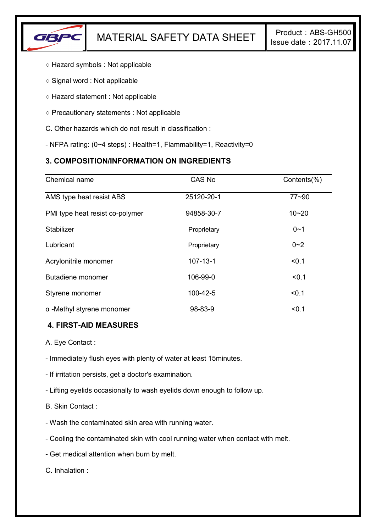

- Hazard symbols : Not applicable
- Signal word : Not applicable
- Hazard statement : Not applicable
- Precautionary statements : Not applicable
- C. Other hazards which do not result in classification :
- NFPA rating: (0~4 steps) : Health=1, Flammability=1, Reactivity=0

# **3. COMPOSITION/INFORMATION ON INGREDIENTS**

| Chemical name                    | CAS No         | Contents(%) |
|----------------------------------|----------------|-------------|
| AMS type heat resist ABS         | 25120-20-1     | $77 - 90$   |
| PMI type heat resist co-polymer  | 94858-30-7     | $10 - 20$   |
| Stabilizer                       | Proprietary    | $0 - 1$     |
| Lubricant                        | Proprietary    | $0 - 2$     |
| Acrylonitrile monomer            | $107 - 13 - 1$ | < 0.1       |
| Butadiene monomer                | 106-99-0       | < 0.1       |
| Styrene monomer                  | 100-42-5       | < 0.1       |
| $\alpha$ -Methyl styrene monomer | 98-83-9        | < 0.1       |

### **4. FIRST-AID MEASURES**

A. Eye Contact :

- Immediately flush eyes with plenty of water at least 15minutes.

- If irritation persists, get a doctor's examination.

- Lifting eyelids occasionally to wash eyelids down enough to follow up.

B. Skin Contact :

- Wash the contaminated skin area with running water.

- Cooling the contaminated skin with cool running water when contact with melt.

- Get medical attention when burn by melt.

C. Inhalation :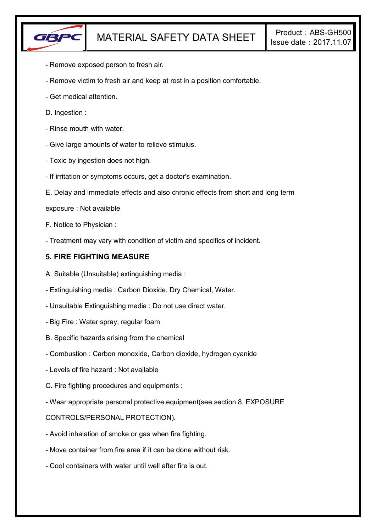

- Remove exposed person to fresh air.
- Remove victim to fresh air and keep at rest in a position comfortable.
- Get medical attention.
- D. Ingestion :
- Rinse mouth with water.
- Give large amounts of water to relieve stimulus.
- Toxic by ingestion does not high.
- If irritation or symptoms occurs, get a doctor's examination.
- E. Delay and immediate effects and also chronic effects from short and long term
- exposure : Not available
- F. Notice to Physician :
- Treatment may vary with condition of victim and specifics of incident.

### **5. FIRE FIGHTING MEASURE**

- A. Suitable (Unsuitable) extinguishing media :
- Extinguishing media : Carbon Dioxide, Dry Chemical, Water.
- Unsuitable Extinguishing media : Do not use direct water.
- Big Fire : Water spray, regular foam
- B. Specific hazards arising from the chemical
- Combustion : Carbon monoxide, Carbon dioxide, hydrogen cyanide
- Levels of fire hazard : Not available
- C. Fire fighting procedures and equipments :
- Wear appropriate personal protective equipment(see section 8. EXPOSURE

### CONTROLS/PERSONAL PROTECTION).

- Avoid inhalation of smoke or gas when fire fighting.
- Move container from fire area if it can be done without risk.
- Cool containers with water until well after fire is out.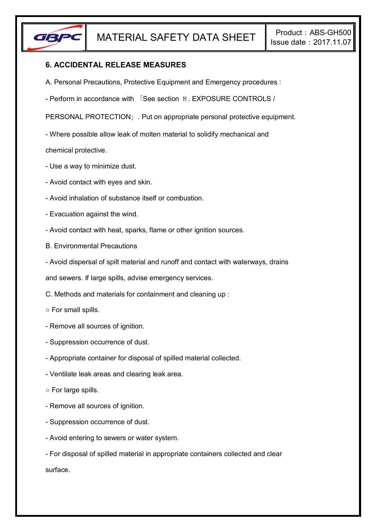

### **6. ACCIDENTAL RELEASE MEASURES**

- A. Personal Precautions, Protective Equipment and Emergency procedures :
- Perform in accordance with 「See section 8. EXPOSURE CONTROLS /

PERSONAL PROTECTION」. Put on appropriate personal protective equipment.

- Where possible allow leak of molten material to solidify mechanical and

chemical protective.

- Use a way to minimize dust.
- Avoid contact with eyes and skin.
- Avoid inhalation of substance itself or combustion.
- Evacuation against the wind.
- Avoid contact with heat, sparks, flame or other ignition sources.
- B. Environmental Precautions
- Avoid dispersal of spilt material and runoff and contact with waterways, drains

and sewers. If large spills, advise emergency services.

- C. Methods and materials for containment and cleaning up :
- For small spills.
- Remove all sources of ignition.
- Suppression occurrence of dust.
- Appropriate container for disposal of spilled material collected.
- Ventilate leak areas and clearing leak area.
- For large spills.
- Remove all sources of ignition.
- Suppression occurrence of dust.
- Avoid entering to sewers or water system.
- For disposal of spilled material in appropriate containers collected and clear surface.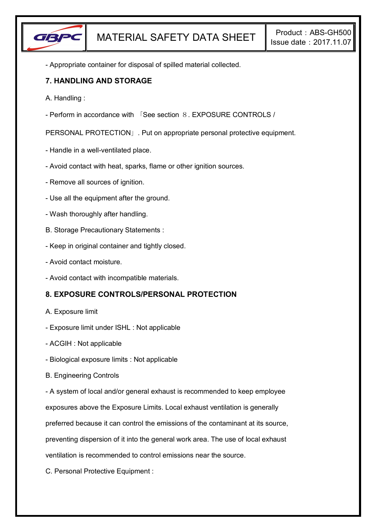

- Appropriate container for disposal of spilled material collected.

### **7. HANDLING AND STORAGE**

- A. Handling :
- Perform in accordance with 「See section 8. EXPOSURE CONTROLS /

PERSONAL PROTECTION」. Put on appropriate personal protective equipment.

- Handle in a well-ventilated place.
- Avoid contact with heat, sparks, flame or other ignition sources.
- Remove all sources of ignition.
- Use all the equipment after the ground.
- Wash thoroughly after handling.
- B. Storage Precautionary Statements :
- Keep in original container and tightly closed.
- Avoid contact moisture.
- Avoid contact with incompatible materials.

## **8. EXPOSURE CONTROLS/PERSONAL PROTECTION**

- A. Exposure limit
- Exposure limit under ISHL : Not applicable
- ACGIH : Not applicable
- Biological exposure limits : Not applicable
- B. Engineering Controls

- A system of local and/or general exhaust is recommended to keep employee

exposures above the Exposure Limits. Local exhaust ventilation is generally

preferred because it can control the emissions of the contaminant at its source,

preventing dispersion of it into the general work area. The use of local exhaust

ventilation is recommended to control emissions near the source.

C. Personal Protective Equipment :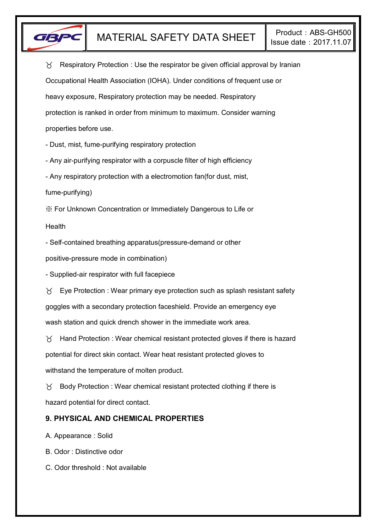

 $\gamma$  Respiratory Protection : Use the respirator be given official approval by Iranian Occupational Health Association (IOHA). Under conditions of frequent use or heavy exposure, Respiratory protection may be needed. Respiratory protection is ranked in order from minimum to maximum. Consider warning properties before use.

- Dust, mist, fume-purifying respiratory protection

- Any air-purifying respirator with a corpuscle filter of high efficiency

- Any respiratory protection with a electromotion fan(for dust, mist,

fume-purifying)

※ For Unknown Concentration or Immediately Dangerous to Life or

Health

- Self-contained breathing apparatus(pressure-demand or other

positive-pressure mode in combination)

- Supplied-air respirator with full facepiece

 $\forall$  Eye Protection : Wear primary eye protection such as splash resistant safety goggles with a secondary protection faceshield. Provide an emergency eye wash station and quick drench shower in the immediate work area.

 $\gamma$  Hand Protection : Wear chemical resistant protected gloves if there is hazard potential for direct skin contact. Wear heat resistant protected gloves to withstand the temperature of molten product.

 $\gamma$  Body Protection : Wear chemical resistant protected clothing if there is hazard potential for direct contact.

## **9. PHYSICAL AND CHEMICAL PROPERTIES**

A. Appearance : Solid

B. Odor : Distinctive odor

C. Odor threshold : Not available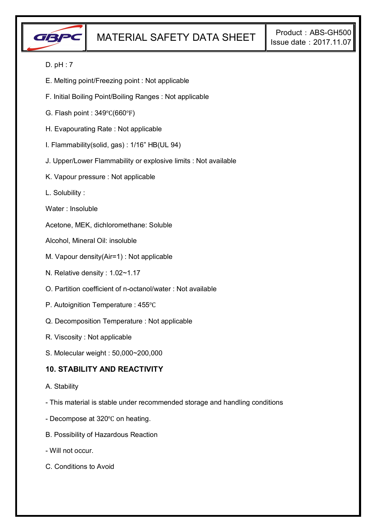

### D. pH : 7

- E. Melting point/Freezing point : Not applicable
- F. Initial Boiling Point/Boiling Ranges : Not applicable
- G. Flash point : 349℃(660℉)
- H. Evapourating Rate : Not applicable
- I. Flammability(solid, gas) : 1/16" HB(UL 94)
- J. Upper/Lower Flammability or explosive limits : Not available
- K. Vapour pressure : Not applicable
- L. Solubility :
- Water : Insoluble

Acetone, MEK, dichloromethane: Soluble

- Alcohol, Mineral Oil: insoluble
- M. Vapour density(Air=1) : Not applicable
- N. Relative density : 1.02~1.17
- O. Partition coefficient of n-octanol/water : Not available
- P. Autoignition Temperature : 455℃
- Q. Decomposition Temperature : Not applicable
- R. Viscosity : Not applicable
- S. Molecular weight : 50,000~200,000

### **10. STABILITY AND REACTIVITY**

- A. Stability
- This material is stable under recommended storage and handling conditions
- Decompose at 320℃ on heating.
- B. Possibility of Hazardous Reaction
- Will not occur.
- C. Conditions to Avoid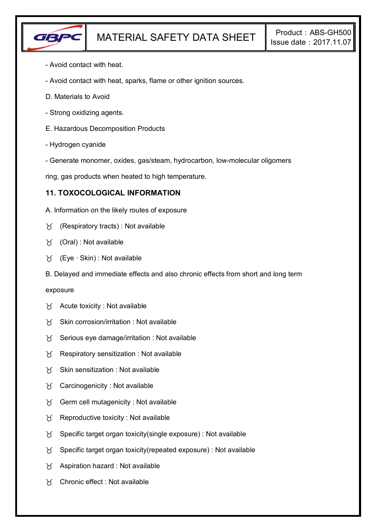

- Avoid contact with heat.
- Avoid contact with heat, sparks, flame or other ignition sources.
- D. Materials to Avoid
- Strong oxidizing agents.
- E. Hazardous Decomposition Products
- Hydrogen cyanide
- Generate monomer, oxides, gas/steam, hydrocarbon, low-molecular oligomers

ring, gas products when heated to high temperature.

### **11. TOXOCOLOGICAL INFORMATION**

- A. Information on the likely routes of exposure
- $\gamma$  (Respiratory tracts) : Not available
- (Oral) : Not available
- (Eye ∙ Skin) : Not available
- B. Delayed and immediate effects and also chronic effects from short and long term

#### exposure

- $\forall$  Acute toxicity : Not available
- $X$  Skin corrosion/irritation : Not available
- $\gamma$  Serious eye damage/irritation : Not available
- $\gamma$  Respiratory sensitization : Not available
- $X$  Skin sensitization : Not available
- $\forall$  Carcinogenicity : Not available
- $\gamma$  Germ cell mutagenicity : Not available
- $\gamma$  Reproductive toxicity : Not available
- $\gamma$  Specific target organ toxicity(single exposure) : Not available
- $\gamma$  Specific target organ toxicity (repeated exposure) : Not available
- $\gamma$  Aspiration hazard : Not available
- Chronic effect : Not available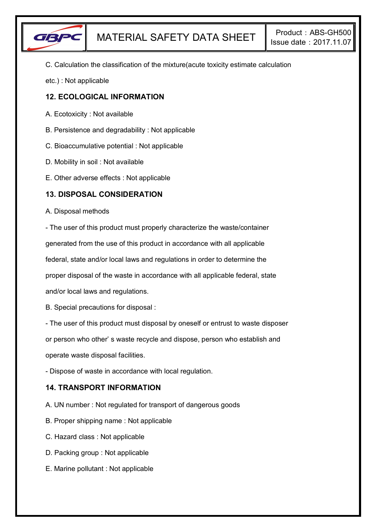

C. Calculation the classification of the mixture(acute toxicity estimate calculation

etc.) : Not applicable

### **12. ECOLOGICAL INFORMATION**

- A. Ecotoxicity : Not available
- B. Persistence and degradability : Not applicable
- C. Bioaccumulative potential : Not applicable
- D. Mobility in soil : Not available
- E. Other adverse effects : Not applicable

### **13. DISPOSAL CONSIDERATION**

#### A. Disposal methods

- The user of this product must properly characterize the waste/container generated from the use of this product in accordance with all applicable

federal, state and/or local laws and regulations in order to determine the

proper disposal of the waste in accordance with all applicable federal, state

and/or local laws and regulations.

B. Special precautions for disposal :

- The user of this product must disposal by oneself or entrust to waste disposer

or person who other' s waste recycle and dispose, person who establish and

operate waste disposal facilities.

- Dispose of waste in accordance with local regulation.

## **14. TRANSPORT INFORMATION**

- A. UN number : Not regulated for transport of dangerous goods
- B. Proper shipping name : Not applicable
- C. Hazard class : Not applicable
- D. Packing group : Not applicable
- E. Marine pollutant : Not applicable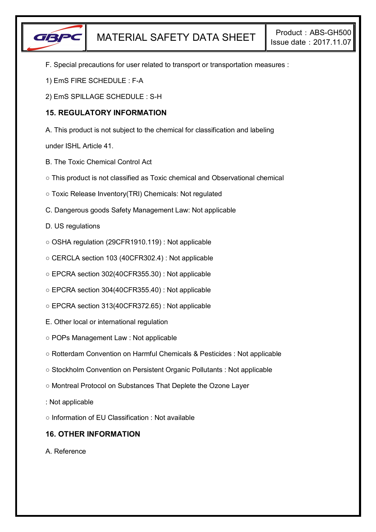

- F. Special precautions for user related to transport or transportation measures :
- 1) EmS FIRE SCHEDULE : F-A
- 2) EmS SPILLAGE SCHEDULE : S-H

# **15. REGULATORY INFORMATION**

A. This product is not subject to the chemical for classification and labeling

under ISHL Article 41.

- B. The Toxic Chemical Control Act
- This product is not classified as Toxic chemical and Observational chemical
- Toxic Release Inventory(TRI) Chemicals: Not regulated
- C. Dangerous goods Safety Management Law: Not applicable
- D. US regulations
- OSHA regulation (29CFR1910.119) : Not applicable
- CERCLA section 103 (40CFR302.4) : Not applicable
- EPCRA section 302(40CFR355.30) : Not applicable
- EPCRA section 304(40CFR355.40) : Not applicable
- EPCRA section 313(40CFR372.65) : Not applicable
- E. Other local or international regulation
- POPs Management Law : Not applicable
- Rotterdam Convention on Harmful Chemicals & Pesticides : Not applicable
- Stockholm Convention on Persistent Organic Pollutants : Not applicable
- Montreal Protocol on Substances That Deplete the Ozone Layer
- : Not applicable
- Information of EU Classification : Not available

# **16. OTHER INFORMATION**

A. Reference